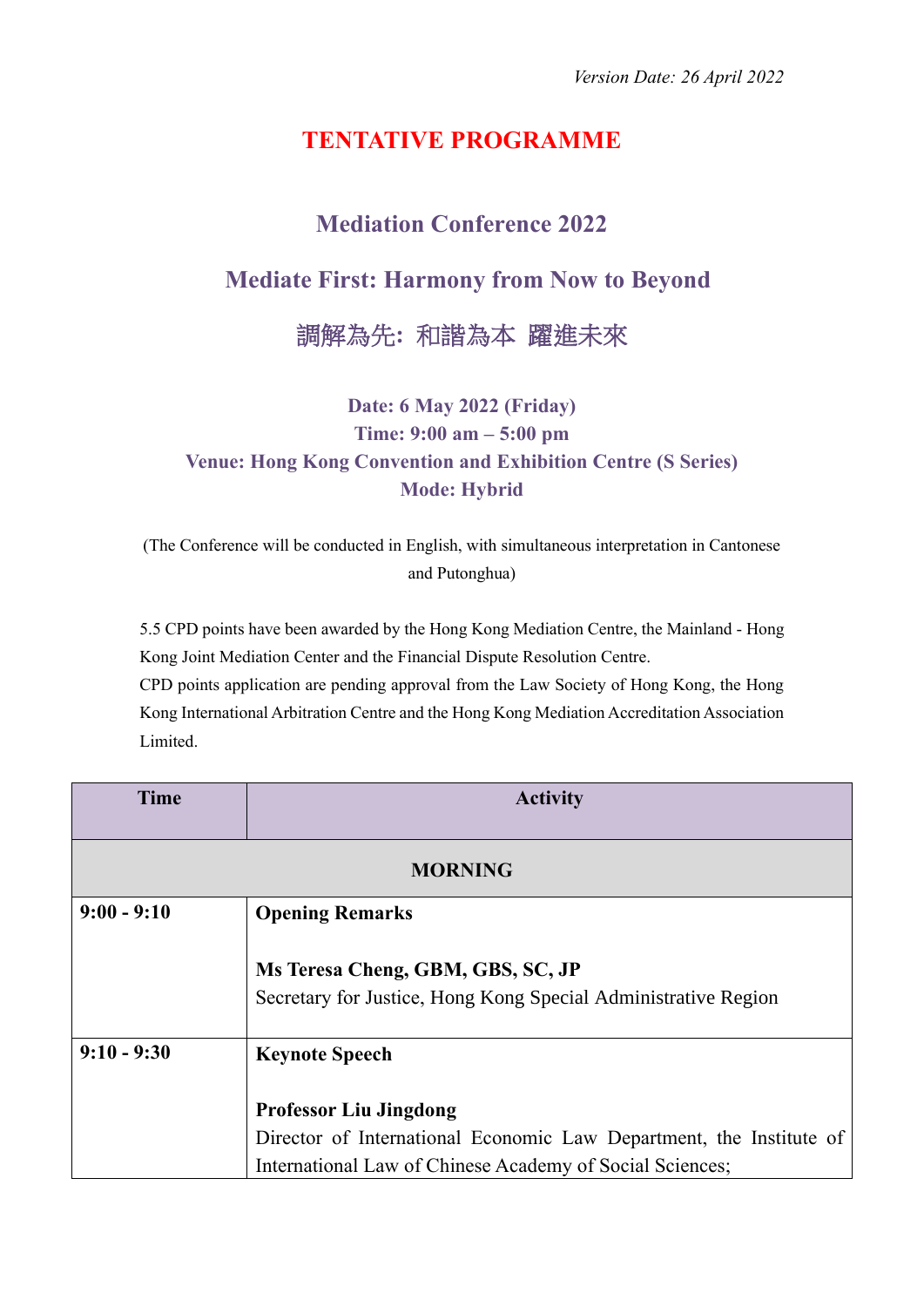## **TENTATIVE PROGRAMME**

## **Mediation Conference 2022**

## **Mediate First: Harmony from Now to Beyond**

調解為先**:** 和諧為本 躍進未來

**Date: 6 May 2022 (Friday) Time: 9:00 am – 5:00 pm Venue: Hong Kong Convention and Exhibition Centre (S Series) Mode: Hybrid**

(The Conference will be conducted in English, with simultaneous interpretation in Cantonese and Putonghua)

5.5 CPD points have been awarded by the Hong Kong Mediation Centre, the Mainland - Hong Kong Joint Mediation Center and the Financial Dispute Resolution Centre. CPD points application are pending approval from the Law Society of Hong Kong, the Hong Kong International Arbitration Centre and the Hong Kong Mediation Accreditation Association Limited.

| <b>Time</b>    | <b>Activity</b>                                                                                                                                                  |  |  |
|----------------|------------------------------------------------------------------------------------------------------------------------------------------------------------------|--|--|
| <b>MORNING</b> |                                                                                                                                                                  |  |  |
| $9:00 - 9:10$  | <b>Opening Remarks</b>                                                                                                                                           |  |  |
|                | Ms Teresa Cheng, GBM, GBS, SC, JP<br>Secretary for Justice, Hong Kong Special Administrative Region                                                              |  |  |
| $9:10 - 9:30$  | <b>Keynote Speech</b>                                                                                                                                            |  |  |
|                | <b>Professor Liu Jingdong</b><br>Director of International Economic Law Department, the Institute of<br>International Law of Chinese Academy of Social Sciences; |  |  |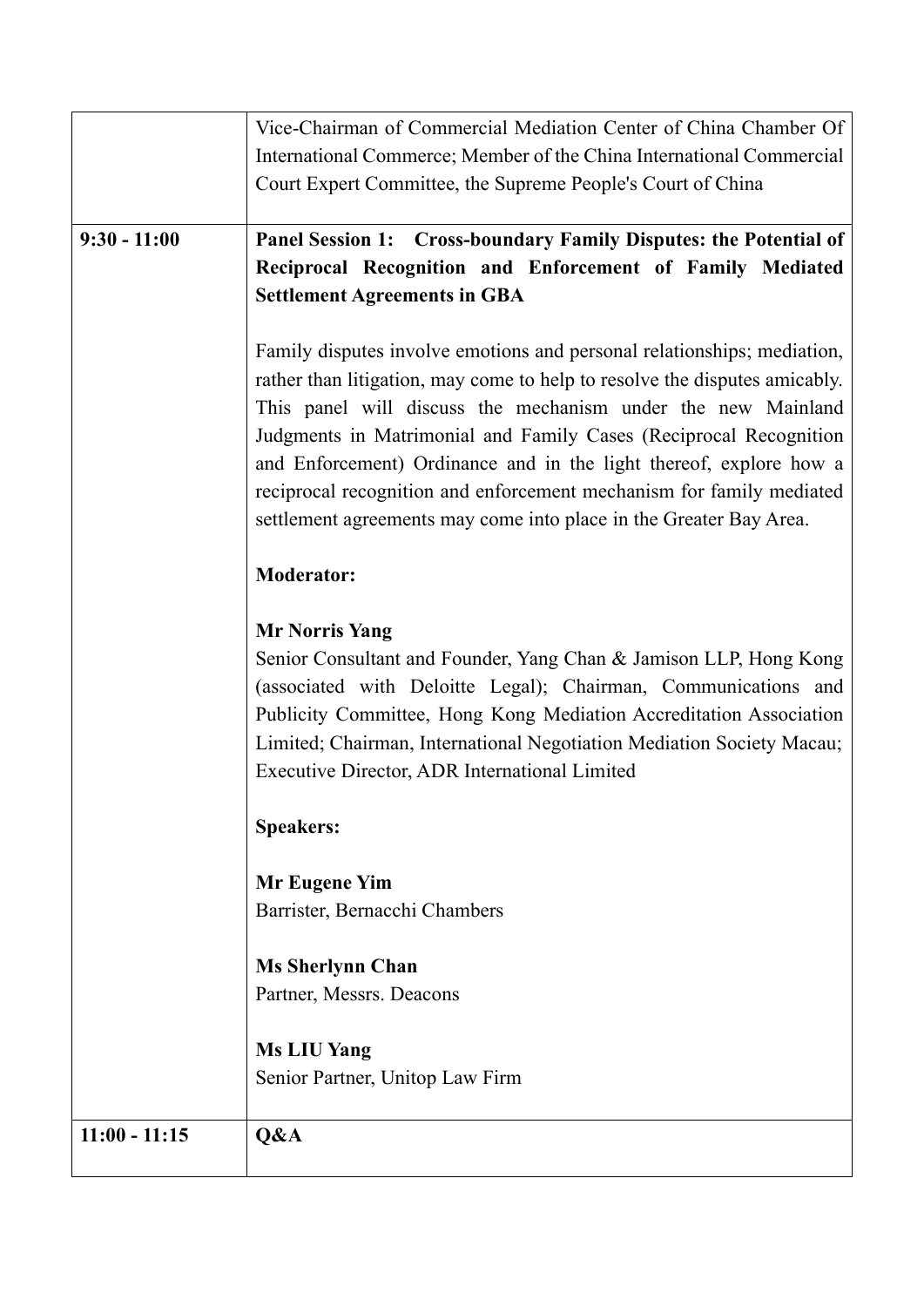|                 | Vice-Chairman of Commercial Mediation Center of China Chamber Of           |
|-----------------|----------------------------------------------------------------------------|
|                 | International Commerce; Member of the China International Commercial       |
|                 | Court Expert Committee, the Supreme People's Court of China                |
|                 |                                                                            |
| $9:30 - 11:00$  | Panel Session 1: Cross-boundary Family Disputes: the Potential of          |
|                 | Reciprocal Recognition and Enforcement of Family Mediated                  |
|                 | <b>Settlement Agreements in GBA</b>                                        |
|                 |                                                                            |
|                 | Family disputes involve emotions and personal relationships; mediation,    |
|                 | rather than litigation, may come to help to resolve the disputes amicably. |
|                 | This panel will discuss the mechanism under the new Mainland               |
|                 | Judgments in Matrimonial and Family Cases (Reciprocal Recognition          |
|                 | and Enforcement) Ordinance and in the light thereof, explore how a         |
|                 | reciprocal recognition and enforcement mechanism for family mediated       |
|                 | settlement agreements may come into place in the Greater Bay Area.         |
|                 |                                                                            |
|                 | <b>Moderator:</b>                                                          |
|                 |                                                                            |
|                 | <b>Mr Norris Yang</b>                                                      |
|                 | Senior Consultant and Founder, Yang Chan & Jamison LLP, Hong Kong          |
|                 | (associated with Deloitte Legal); Chairman, Communications and             |
|                 | Publicity Committee, Hong Kong Mediation Accreditation Association         |
|                 | Limited; Chairman, International Negotiation Mediation Society Macau;      |
|                 | Executive Director, ADR International Limited                              |
|                 | <b>Speakers:</b>                                                           |
|                 | <b>Mr Eugene Yim</b>                                                       |
|                 | Barrister, Bernacchi Chambers                                              |
|                 |                                                                            |
|                 | <b>Ms Sherlynn Chan</b>                                                    |
|                 | Partner, Messrs. Deacons                                                   |
|                 |                                                                            |
|                 | <b>Ms LIU Yang</b>                                                         |
|                 | Senior Partner, Unitop Law Firm                                            |
| $11:00 - 11:15$ |                                                                            |
|                 | Q&A                                                                        |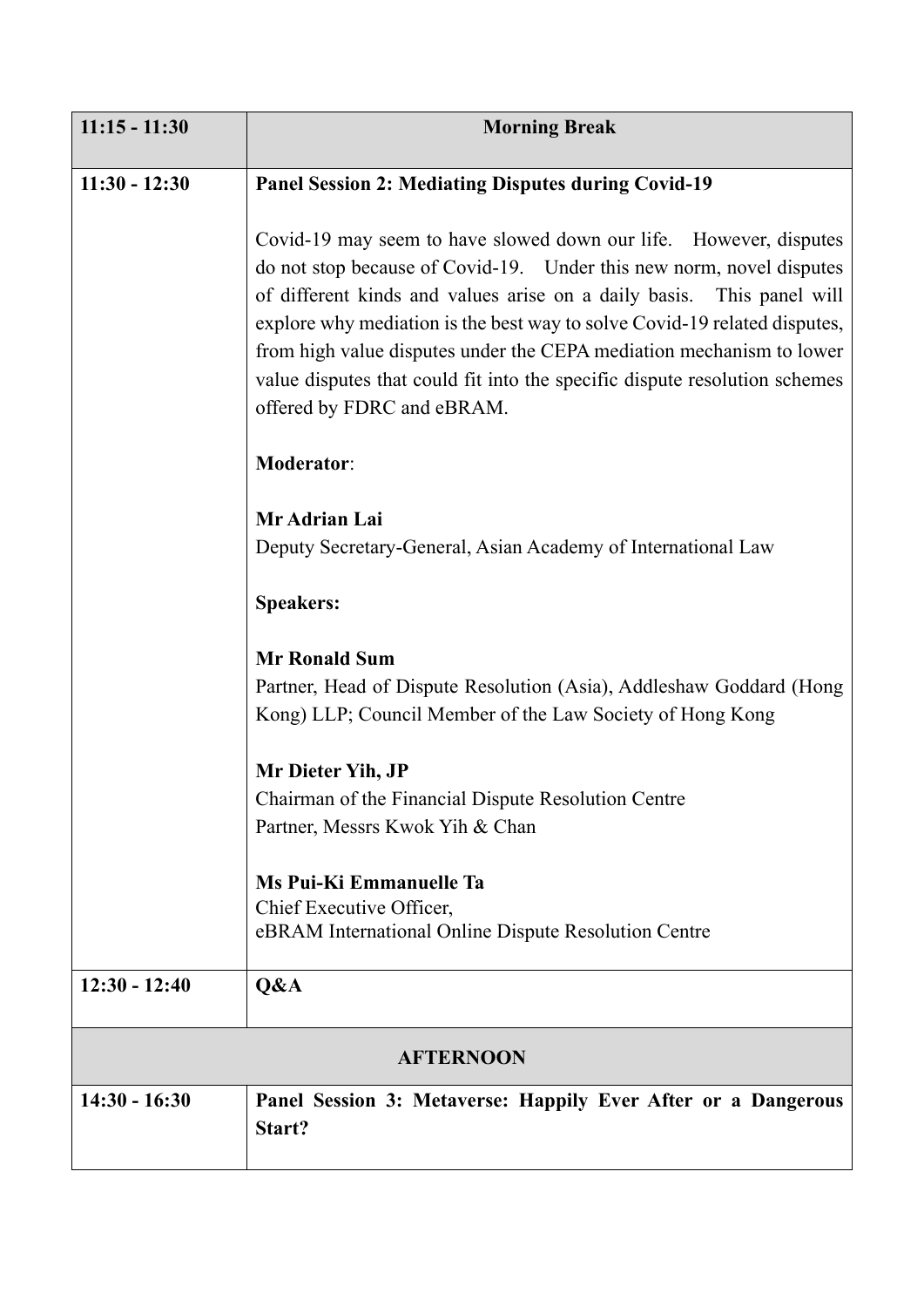| $11:15 - 11:30$  | <b>Morning Break</b>                                                                                                                                                                                                                                                                                                                                                                                                                                                                |  |
|------------------|-------------------------------------------------------------------------------------------------------------------------------------------------------------------------------------------------------------------------------------------------------------------------------------------------------------------------------------------------------------------------------------------------------------------------------------------------------------------------------------|--|
| $11:30 - 12:30$  | <b>Panel Session 2: Mediating Disputes during Covid-19</b>                                                                                                                                                                                                                                                                                                                                                                                                                          |  |
|                  | Covid-19 may seem to have slowed down our life. However, disputes<br>do not stop because of Covid-19. Under this new norm, novel disputes<br>of different kinds and values arise on a daily basis. This panel will<br>explore why mediation is the best way to solve Covid-19 related disputes,<br>from high value disputes under the CEPA mediation mechanism to lower<br>value disputes that could fit into the specific dispute resolution schemes<br>offered by FDRC and eBRAM. |  |
|                  | <b>Moderator:</b>                                                                                                                                                                                                                                                                                                                                                                                                                                                                   |  |
|                  | Mr Adrian Lai<br>Deputy Secretary-General, Asian Academy of International Law                                                                                                                                                                                                                                                                                                                                                                                                       |  |
|                  | <b>Speakers:</b>                                                                                                                                                                                                                                                                                                                                                                                                                                                                    |  |
|                  | <b>Mr Ronald Sum</b><br>Partner, Head of Dispute Resolution (Asia), Addleshaw Goddard (Hong<br>Kong) LLP; Council Member of the Law Society of Hong Kong                                                                                                                                                                                                                                                                                                                            |  |
|                  | Mr Dieter Yih, JP<br>Chairman of the Financial Dispute Resolution Centre<br>Partner, Messrs Kwok Yih & Chan                                                                                                                                                                                                                                                                                                                                                                         |  |
|                  | Ms Pui-Ki Emmanuelle Ta<br>Chief Executive Officer,<br>eBRAM International Online Dispute Resolution Centre                                                                                                                                                                                                                                                                                                                                                                         |  |
| $12:30 - 12:40$  | Q&A                                                                                                                                                                                                                                                                                                                                                                                                                                                                                 |  |
| <b>AFTERNOON</b> |                                                                                                                                                                                                                                                                                                                                                                                                                                                                                     |  |
| $14:30 - 16:30$  | Panel Session 3: Metaverse: Happily Ever After or a Dangerous<br>Start?                                                                                                                                                                                                                                                                                                                                                                                                             |  |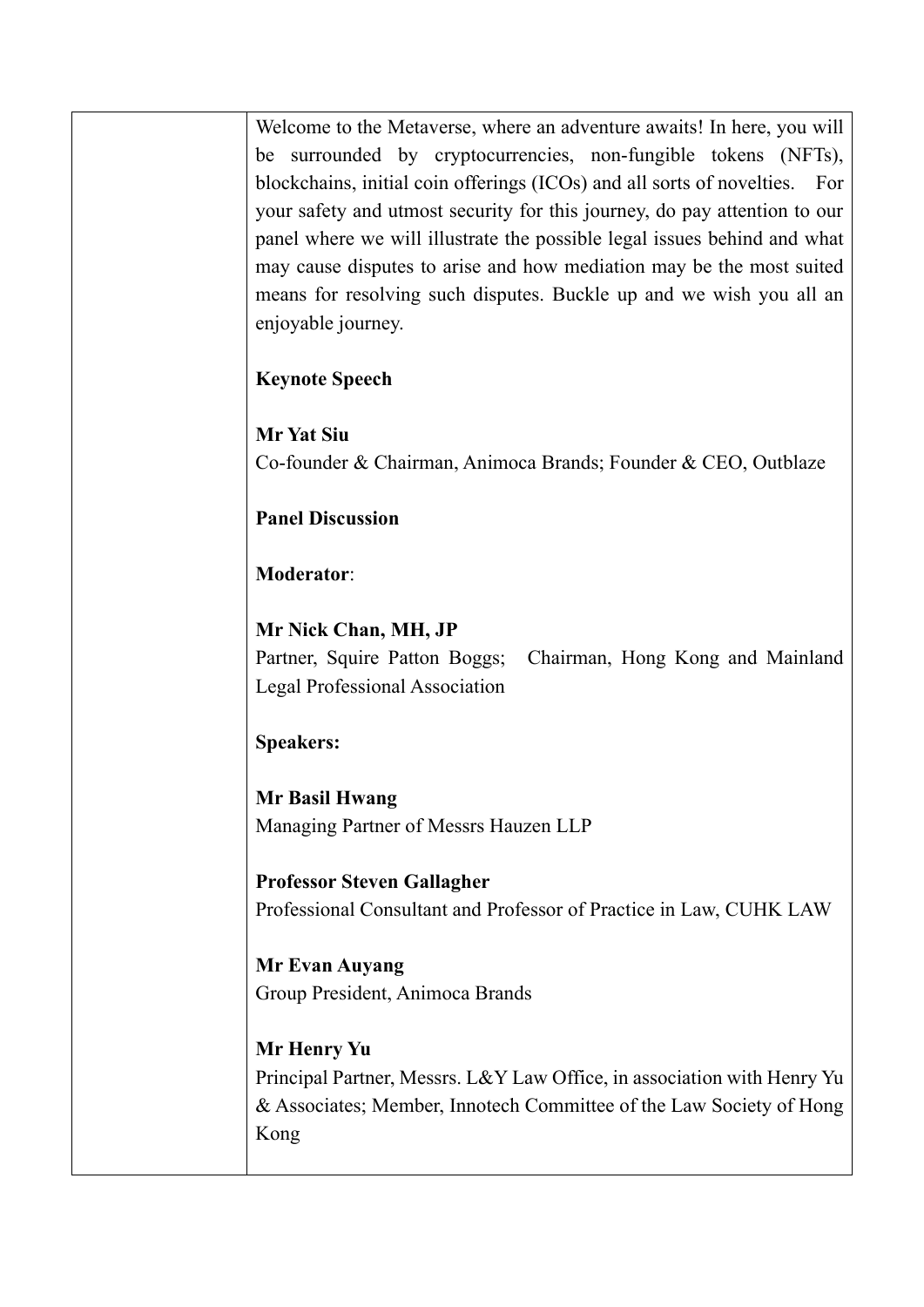Welcome to the Metaverse, where an adventure awaits! In here, you will be surrounded by cryptocurrencies, non-fungible tokens (NFTs), blockchains, initial coin offerings (ICOs) and all sorts of novelties. For your safety and utmost security for this journey, do pay attention to our panel where we will illustrate the possible legal issues behind and what may cause disputes to arise and how mediation may be the most suited means for resolving such disputes. Buckle up and we wish you all an enjoyable journey.

**Keynote Speech**

**Mr Yat Siu** Co-founder & Chairman, Animoca Brands; Founder & CEO, Outblaze

**Panel Discussion**

**Moderator**:

**Mr Nick Chan, MH, JP** Partner, Squire Patton Boggs; Chairman, Hong Kong and Mainland Legal Professional Association

**Speakers:**

**Mr Basil Hwang** Managing Partner of Messrs Hauzen LLP

**Professor Steven Gallagher** Professional Consultant and Professor of Practice in Law, CUHK LAW

**Mr Evan Auyang** Group President, Animoca Brands

**Mr Henry Yu** Principal Partner, Messrs. L&Y Law Office, in association with Henry Yu & Associates; Member, Innotech Committee of the Law Society of Hong Kong